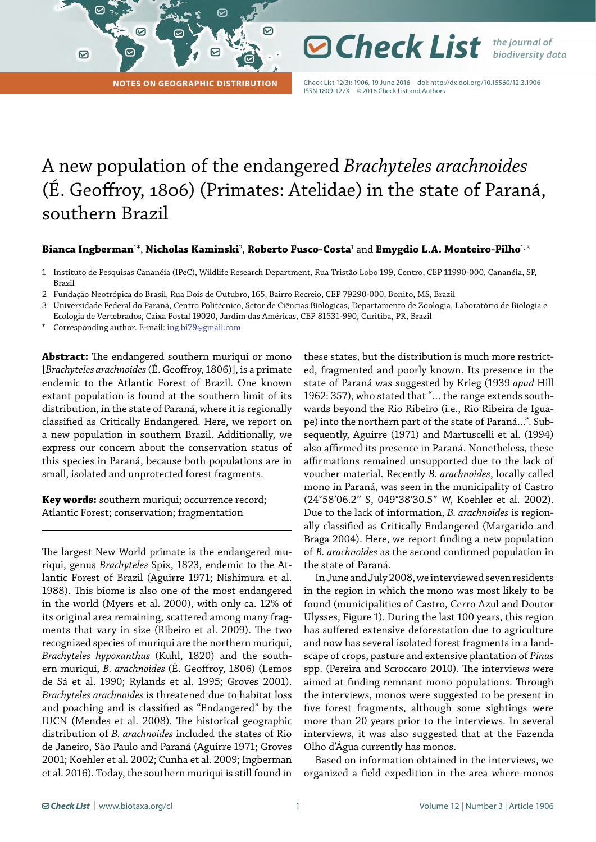**Notes on Geographic Distribution**

Check List 12(3): 1906, 19 June 2016 doi: <http://dx.doi.org/10.15560/12.3.1906> ISSN 1809-127X ©2016 Check List and Authors

**⊘ Check List** *the journal of* 

*biodiversity data*

## A new population of the endangered *Brachyteles arachnoides* (É. Geoffroy, 1806) (Primates: Atelidae) in the state of Paraná, southern Brazil

☑

**Bianca Ingberman**<sup>1</sup> \*, **Nicholas Kaminski**<sup>2</sup> , **Roberto Fusco-Costa**<sup>1</sup> and **Emygdio L.A. Monteiro-Filho**1, 3

- 1 Instituto de Pesquisas Cananéia (IPeC), Wildlife Research Department, Rua Tristão Lobo 199, Centro, CEP 11990-000, Cananéia, SP, Brazil
- 2 Fundação Neotrópica do Brasil, Rua Dois de Outubro, 165, Bairro Recreio, CEP 79290-000, Bonito, MS, Brazil
- 3 Universidade Federal do Paraná, Centro Politécnico, Setor de Ciências Biológicas, Departamento de Zoologia, Laboratório de Biologia e
- Ecologia de Vertebrados, Caixa Postal 19020, Jardim das Américas, CEP 81531-990, Curitiba, PR, Brazil
- Corresponding author. E-mail: [ing.bi79@gmail.com](mailto:ing.bi79%40gmail.com?subject=)

 $\sim$ 

 $\odot$ 

**Abstract:** The endangered southern muriqui or mono [*Brachyteles arachnoides* (É. Geoffroy, 1806)], is a primate endemic to the Atlantic Forest of Brazil. One known extant population is found at the southern limit of its distribution, in the state of Paraná, where it is regionally classified as Critically Endangered. Here, we report on a new population in southern Brazil. Additionally, we express our concern about the conservation status of this species in Paraná, because both populations are in small, isolated and unprotected forest fragments.

**Key words:** southern muriqui; occurrence record; Atlantic Forest; conservation; fragmentation

The largest New World primate is the endangered muriqui, genus *Brachyteles* Spix, 1823, endemic to the Atlantic Forest of Brazil (Aguirre 1971; Nishimura et al. 1988). This biome is also one of the most endangered in the world (Myers et al. 2000), with only ca. 12% of its original area remaining, scattered among many fragments that vary in size (Ribeiro et al. 2009). The two recognized species of muriqui are the northern muriqui, *Brachyteles hypoxanthus* (Kuhl, 1820) and the southern muriqui, *B. arachnoides* (É. Geoffroy, 1806) (Lemos de Sá et al. 1990; Rylands et al. 1995; Groves 2001). *Brachyteles arachnoides* is threatened due to habitat loss and poaching and is classified as "Endangered" by the IUCN (Mendes et al. 2008). The historical geographic distribution of *B. arachnoides* included the states of Rio de Janeiro, São Paulo and Paraná (Aguirre 1971; Groves 2001; Koehler et al. 2002; Cunha et al. 2009; Ingberman et al. 2016). Today, the southern muriqui is still found in

these states, but the distribution is much more restricted, fragmented and poorly known. Its presence in the state of Paraná was suggested by Krieg (1939 *apud* Hill 1962: 357), who stated that "… the range extends southwards beyond the Rio Ribeiro (i.e., Rio Ribeira de Iguape) into the northern part of the state of Paraná...". Subsequently, Aguirre (1971) and Martuscelli et al. (1994) also affirmed its presence in Paraná. Nonetheless, these affirmations remained unsupported due to the lack of voucher material. Recently *B. arachnoides*, locally called mono in Paraná, was seen in the municipality of Castro (24°58′06.2″ S, 049°38′30.5″ W, Koehler et al. 2002). Due to the lack of information, *B. arachnoides* is regionally classified as Critically Endangered (Margarido and Braga 2004). Here, we report finding a new population of *B. arachnoides* as the second confirmed population in the state of Paraná.

In June and July 2008, we interviewed seven residents in the region in which the mono was most likely to be found (municipalities of Castro, Cerro Azul and Doutor Ulysses, Figure 1). During the last 100 years, this region has suffered extensive deforestation due to agriculture and now has several isolated forest fragments in a landscape of crops, pasture and extensive plantation of *Pinus* spp. (Pereira and Scroccaro 2010). The interviews were aimed at finding remnant mono populations. Through the interviews, monos were suggested to be present in five forest fragments, although some sightings were more than 20 years prior to the interviews. In several interviews, it was also suggested that at the Fazenda Olho d'Água currently has monos.

Based on information obtained in the interviews, we organized a field expedition in the area where monos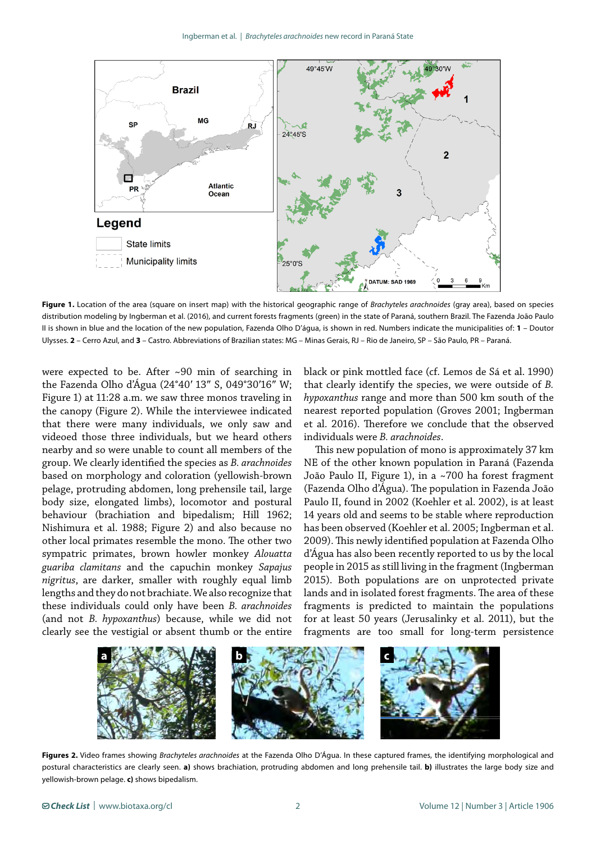

**Figure 1.** Location of the area (square on insert map) with the historical geographic range of *Brachyteles arachnoides* (gray area), based on species distribution modeling by Ingberman et al. (2016), and current forests fragments (green) in the state of Paraná, southern Brazil. The Fazenda João Paulo II is shown in blue and the location of the new population, Fazenda Olho D'água, is shown in red. Numbers indicate the municipalities of: **1** – Doutor Ulysses. **2** – Cerro Azul, and **3** – Castro. Abbreviations of Brazilian states: MG – Minas Gerais, RJ – Rio de Janeiro, SP – São Paulo, PR – Paraná.

were expected to be. After ~90 min of searching in the Fazenda Olho d'Água (24°40′ 13″ S, 049°30′16″ W; Figure 1) at 11:28 a.m. we saw three monos traveling in the canopy (Figure 2). While the interviewee indicated that there were many individuals, we only saw and videoed those three individuals, but we heard others nearby and so were unable to count all members of the group. We clearly identified the species as *B. arachnoides* based on morphology and coloration (yellowish-brown pelage, protruding abdomen, long prehensile tail, large body size, elongated limbs), locomotor and postural behaviour (brachiation and bipedalism; Hill 1962; Nishimura et al. 1988; Figure 2) and also because no other local primates resemble the mono. The other two sympatric primates, brown howler monkey *Alouatta guariba clamitans* and the capuchin monkey *Sapajus nigritus*, are darker, smaller with roughly equal limb lengths and they do not brachiate. We also recognize that these individuals could only have been *B. arachnoides* (and not *B. hypoxanthus*) because, while we did not clearly see the vestigial or absent thumb or the entire

black or pink mottled face (cf. Lemos de Sá et al. 1990) that clearly identify the species, we were outside of *B. hypoxanthus* range and more than 500 km south of the nearest reported population (Groves 2001; Ingberman et al. 2016). Therefore we conclude that the observed individuals were *B. arachnoides*.

This new population of mono is approximately 37 km NE of the other known population in Paraná (Fazenda João Paulo II, Figure 1), in a ~700 ha forest fragment (Fazenda Olho d'Água). The population in Fazenda João Paulo II, found in 2002 (Koehler et al. 2002), is at least 14 years old and seems to be stable where reproduction has been observed (Koehler et al. 2005; Ingberman et al. 2009). This newly identified population at Fazenda Olho d'Água has also been recently reported to us by the local people in 2015 as still living in the fragment (Ingberman 2015). Both populations are on unprotected private lands and in isolated forest fragments. The area of these fragments is predicted to maintain the populations for at least 50 years (Jerusalinky et al. 2011), but the fragments are too small for long-term persistence



**Figures 2.** Video frames showing *Brachyteles arachnoides* at the Fazenda Olho D'Água. In these captured frames, the identifying morphological and postural characteristics are clearly seen. **a)** shows brachiation, protruding abdomen and long prehensile tail. **b)** illustrates the large body size and yellowish-brown pelage. **c)** shows bipedalism.